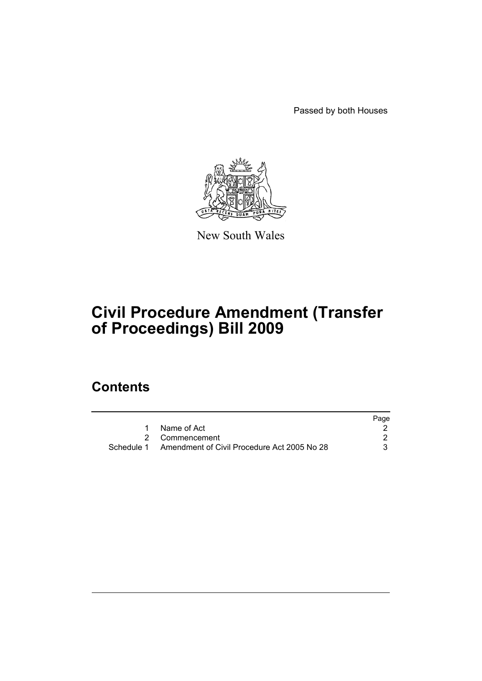Passed by both Houses



New South Wales

# **Civil Procedure Amendment (Transfer of Proceedings) Bill 2009**

## **Contents**

|                                                        | Page |
|--------------------------------------------------------|------|
| Name of Act                                            |      |
| 2 Commencement                                         |      |
| Schedule 1 Amendment of Civil Procedure Act 2005 No 28 |      |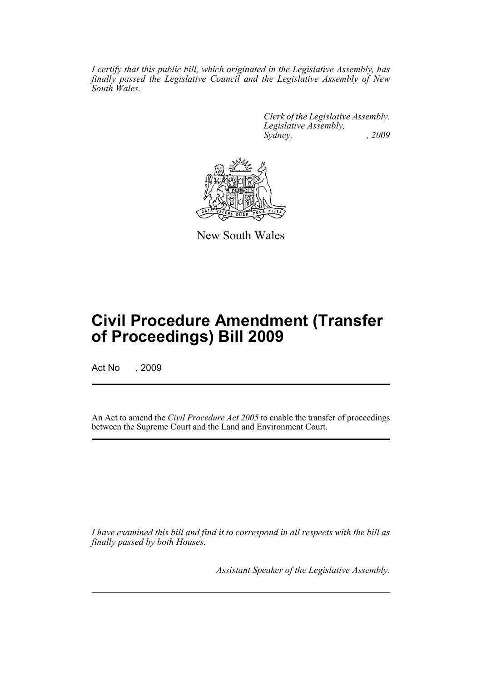*I certify that this public bill, which originated in the Legislative Assembly, has finally passed the Legislative Council and the Legislative Assembly of New South Wales.*

> *Clerk of the Legislative Assembly. Legislative Assembly, Sydney, , 2009*



New South Wales

## **Civil Procedure Amendment (Transfer of Proceedings) Bill 2009**

Act No , 2009

An Act to amend the *Civil Procedure Act 2005* to enable the transfer of proceedings between the Supreme Court and the Land and Environment Court.

*I have examined this bill and find it to correspond in all respects with the bill as finally passed by both Houses.*

*Assistant Speaker of the Legislative Assembly.*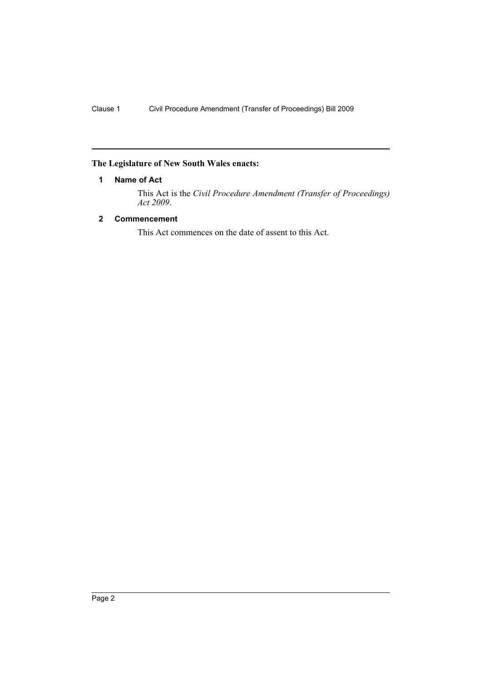## <span id="page-3-0"></span>**The Legislature of New South Wales enacts:**

## **1 Name of Act**

This Act is the *Civil Procedure Amendment (Transfer of Proceedings) Act 2009*.

## <span id="page-3-1"></span>**2 Commencement**

This Act commences on the date of assent to this Act.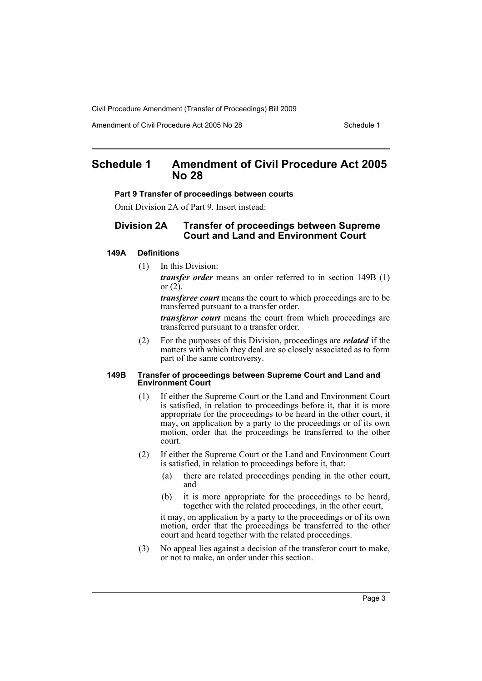Civil Procedure Amendment (Transfer of Proceedings) Bill 2009

Amendment of Civil Procedure Act 2005 No 28 Schedule 1

## <span id="page-4-0"></span>**Schedule 1 Amendment of Civil Procedure Act 2005 No 28**

#### **Part 9 Transfer of proceedings between courts**

Omit Division 2A of Part 9. Insert instead:

## **Division 2A Transfer of proceedings between Supreme Court and Land and Environment Court**

### **149A Definitions**

(1) In this Division:

*transfer order* means an order referred to in section 149B (1) or  $(2)$ .

*transferee court* means the court to which proceedings are to be transferred pursuant to a transfer order.

*transferor court* means the court from which proceedings are transferred pursuant to a transfer order.

(2) For the purposes of this Division, proceedings are *related* if the matters with which they deal are so closely associated as to form part of the same controversy.

#### **149B Transfer of proceedings between Supreme Court and Land and Environment Court**

- (1) If either the Supreme Court or the Land and Environment Court is satisfied, in relation to proceedings before it, that it is more appropriate for the proceedings to be heard in the other court, it may, on application by a party to the proceedings or of its own motion, order that the proceedings be transferred to the other court.
- (2) If either the Supreme Court or the Land and Environment Court is satisfied, in relation to proceedings before it, that:
	- (a) there are related proceedings pending in the other court, and
	- (b) it is more appropriate for the proceedings to be heard, together with the related proceedings, in the other court,

it may, on application by a party to the proceedings or of its own motion, order that the proceedings be transferred to the other court and heard together with the related proceedings.

(3) No appeal lies against a decision of the transferor court to make, or not to make, an order under this section.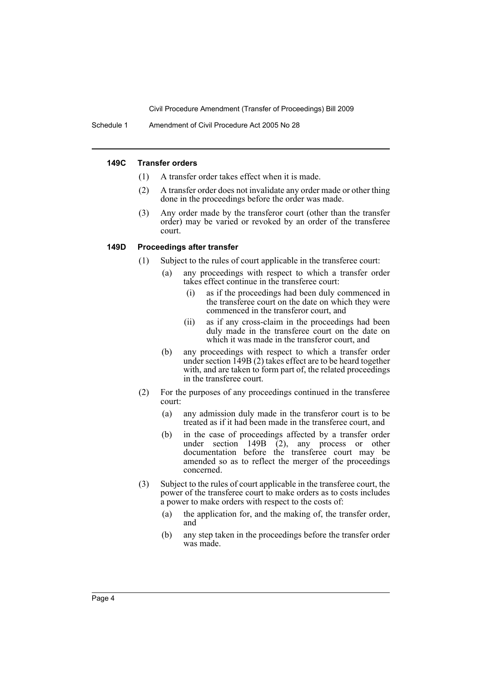Civil Procedure Amendment (Transfer of Proceedings) Bill 2009

Schedule 1 Amendment of Civil Procedure Act 2005 No 28

#### **149C Transfer orders**

- (1) A transfer order takes effect when it is made.
- (2) A transfer order does not invalidate any order made or other thing done in the proceedings before the order was made.
- (3) Any order made by the transferor court (other than the transfer order) may be varied or revoked by an order of the transferee court.

#### **149D Proceedings after transfer**

- (1) Subject to the rules of court applicable in the transferee court:
	- (a) any proceedings with respect to which a transfer order takes effect continue in the transferee court:
		- (i) as if the proceedings had been duly commenced in the transferee court on the date on which they were commenced in the transferor court, and
		- (ii) as if any cross-claim in the proceedings had been duly made in the transferee court on the date on which it was made in the transferor court, and
	- (b) any proceedings with respect to which a transfer order under section 149B (2) takes effect are to be heard together with, and are taken to form part of, the related proceedings in the transferee court.
- (2) For the purposes of any proceedings continued in the transferee court:
	- (a) any admission duly made in the transferor court is to be treated as if it had been made in the transferee court, and
	- (b) in the case of proceedings affected by a transfer order under section 149B  $(2)$ , any process or other documentation before the transferee court may be amended so as to reflect the merger of the proceedings concerned.
- (3) Subject to the rules of court applicable in the transferee court, the power of the transferee court to make orders as to costs includes a power to make orders with respect to the costs of:
	- (a) the application for, and the making of, the transfer order, and
	- (b) any step taken in the proceedings before the transfer order was made.